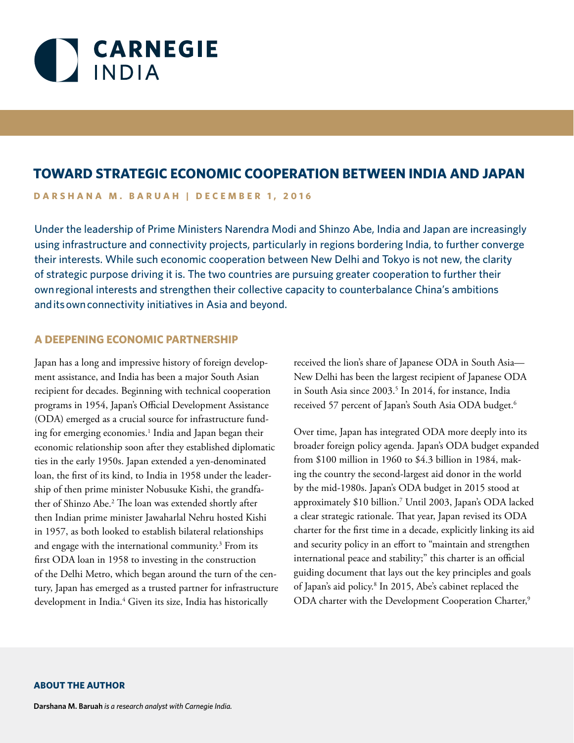

# **TOWARD STRATEGIC ECONOMIC COOPERATION BETWEEN INDIA AND JAPAN**

**DARSHANA M. BARUAH | DECEMBER 1, 2016**

Under the leadership of Prime Ministers Narendra Modi and Shinzo Abe, India and Japan are increasingly using infrastructure and connectivity projects, particularly in regions bordering India, to further converge their interests. While such economic cooperation between New Delhi and Tokyo is not new, the clarity of strategic purpose driving it is. The two countries are pursuing greater cooperation to further their own regional interests and strengthen their collective capacity to counterbalance China's ambitions and its own connectivity initiatives in Asia and beyond.

### **A DEEPENING ECONOMIC PARTNERSHIP**

Japan has a long and impressive history of foreign development assistance, and India has been a major South Asian recipient for decades. Beginning with technical cooperation programs in 1954, Japan's Official Development Assistance (ODA) emerged as a crucial source for infrastructure funding for emerging economies.<sup>1</sup> India and Japan began their economic relationship soon after they established diplomatic ties in the early 1950s. Japan extended a yen-denominated loan, the first of its kind, to India in 1958 under the leadership of then prime minister Nobusuke Kishi, the grandfather of Shinzo Abe.2 The loan was extended shortly after then Indian prime minister Jawaharlal Nehru hosted Kishi in 1957, as both looked to establish bilateral relationships and engage with the international community.3 From its first ODA loan in 1958 to investing in the construction of the Delhi Metro, which began around the turn of the century, Japan has emerged as a trusted partner for infrastructure development in India.<sup>4</sup> Given its size, India has historically

received the lion's share of Japanese ODA in South Asia— New Delhi has been the largest recipient of Japanese ODA in South Asia since 2003.<sup>5</sup> In 2014, for instance, India received 57 percent of Japan's South Asia ODA budget.<sup>6</sup>

Over time, Japan has integrated ODA more deeply into its broader foreign policy agenda. Japan's ODA budget expanded from \$100 million in 1960 to \$4.3 billion in 1984, making the country the second-largest aid donor in the world by the mid-1980s. Japan's ODA budget in 2015 stood at approximately \$10 billion.7 Until 2003, Japan's ODA lacked a clear strategic rationale. That year, Japan revised its ODA charter for the first time in a decade, explicitly linking its aid and security policy in an effort to "maintain and strengthen international peace and stability;" this charter is an official guiding document that lays out the key principles and goals of Japan's aid policy.8 In 2015, Abe's cabinet replaced the ODA charter with the Development Cooperation Charter,<sup>9</sup>

#### **ABOUT THE AUTHOR**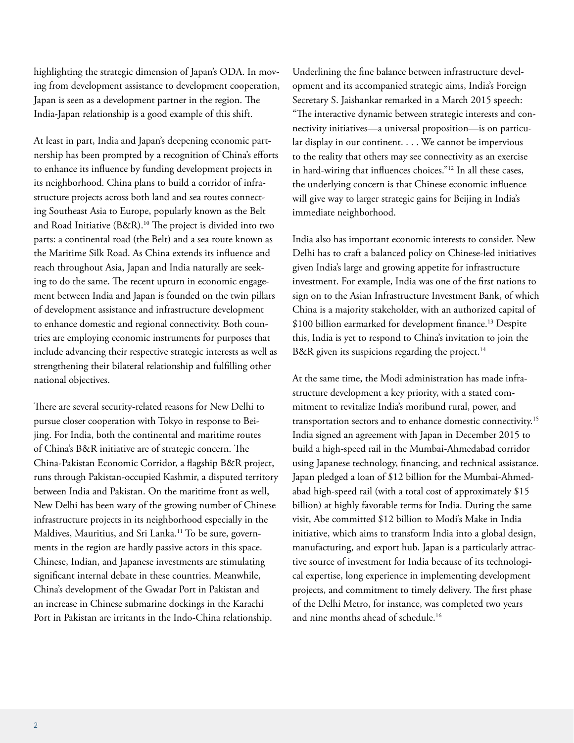highlighting the strategic dimension of Japan's ODA. In moving from development assistance to development cooperation, Japan is seen as a development partner in the region. The India-Japan relationship is a good example of this shift.

At least in part, India and Japan's deepening economic partnership has been prompted by a recognition of China's efforts to enhance its influence by funding development projects in its neighborhood. China plans to build a corridor of infrastructure projects across both land and sea routes connecting Southeast Asia to Europe, popularly known as the Belt and Road Initiative (B&R).<sup>10</sup> The project is divided into two parts: a continental road (the Belt) and a sea route known as the Maritime Silk Road. As China extends its influence and reach throughout Asia, Japan and India naturally are seeking to do the same. The recent upturn in economic engagement between India and Japan is founded on the twin pillars of development assistance and infrastructure development to enhance domestic and regional connectivity. Both countries are employing economic instruments for purposes that include advancing their respective strategic interests as well as strengthening their bilateral relationship and fulfilling other national objectives.

There are several security-related reasons for New Delhi to pursue closer cooperation with Tokyo in response to Beijing. For India, both the continental and maritime routes of China's B&R initiative are of strategic concern. The China-Pakistan Economic Corridor, a flagship B&R project, runs through Pakistan-occupied Kashmir, a disputed territory between India and Pakistan. On the maritime front as well, New Delhi has been wary of the growing number of Chinese infrastructure projects in its neighborhood especially in the Maldives, Mauritius, and Sri Lanka.<sup>11</sup> To be sure, governments in the region are hardly passive actors in this space. Chinese, Indian, and Japanese investments are stimulating significant internal debate in these countries. Meanwhile, China's development of the Gwadar Port in Pakistan and an increase in Chinese submarine dockings in the Karachi Port in Pakistan are irritants in the Indo-China relationship.

Underlining the fine balance between infrastructure development and its accompanied strategic aims, India's Foreign Secretary S. Jaishankar remarked in a March 2015 speech: "The interactive dynamic between strategic interests and connectivity initiatives—a universal proposition—is on particular display in our continent. . . . We cannot be impervious to the reality that others may see connectivity as an exercise in hard-wiring that influences choices."12 In all these cases, the underlying concern is that Chinese economic influence will give way to larger strategic gains for Beijing in India's immediate neighborhood.

India also has important economic interests to consider. New Delhi has to craft a balanced policy on Chinese-led initiatives given India's large and growing appetite for infrastructure investment. For example, India was one of the first nations to sign on to the Asian Infrastructure Investment Bank, of which China is a majority stakeholder, with an authorized capital of \$100 billion earmarked for development finance.<sup>13</sup> Despite this, India is yet to respond to China's invitation to join the B&R given its suspicions regarding the project.<sup>14</sup>

At the same time, the Modi administration has made infrastructure development a key priority, with a stated commitment to revitalize India's moribund rural, power, and transportation sectors and to enhance domestic connectivity.15 India signed an agreement with Japan in December 2015 to build a high-speed rail in the Mumbai-Ahmedabad corridor using Japanese technology, financing, and technical assistance. Japan pledged a loan of \$12 billion for the Mumbai-Ahmedabad high-speed rail (with a total cost of approximately \$15 billion) at highly favorable terms for India. During the same visit, Abe committed \$12 billion to Modi's Make in India initiative, which aims to transform India into a global design, manufacturing, and export hub. Japan is a particularly attractive source of investment for India because of its technological expertise, long experience in implementing development projects, and commitment to timely delivery. The first phase of the Delhi Metro, for instance, was completed two years and nine months ahead of schedule.<sup>16</sup>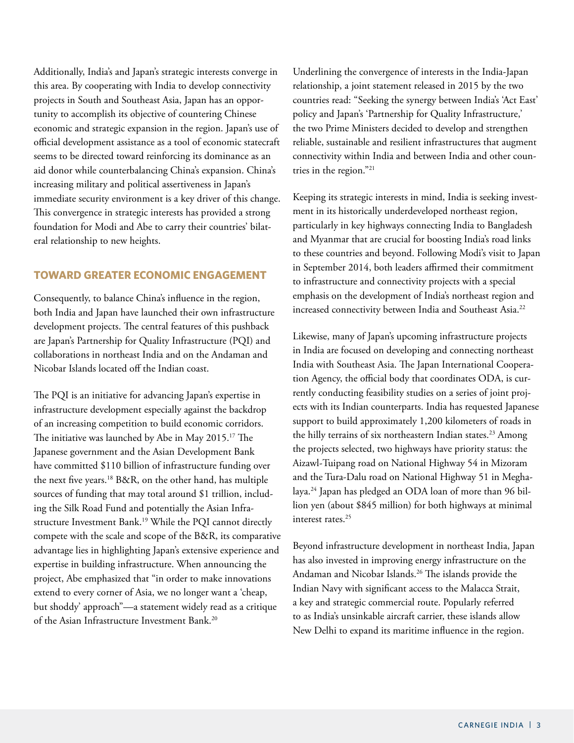Additionally, India's and Japan's strategic interests converge in this area. By cooperating with India to develop connectivity projects in South and Southeast Asia, Japan has an opportunity to accomplish its objective of countering Chinese economic and strategic expansion in the region. Japan's use of official development assistance as a tool of economic statecraft seems to be directed toward reinforcing its dominance as an aid donor while counterbalancing China's expansion. China's increasing military and political assertiveness in Japan's immediate security environment is a key driver of this change. This convergence in strategic interests has provided a strong foundation for Modi and Abe to carry their countries' bilateral relationship to new heights.

## **TOWARD GREATER ECONOMIC ENGAGEMENT**

Consequently, to balance China's influence in the region, both India and Japan have launched their own infrastructure development projects. The central features of this pushback are Japan's Partnership for Quality Infrastructure (PQI) and collaborations in northeast India and on the Andaman and Nicobar Islands located off the Indian coast.

The PQI is an initiative for advancing Japan's expertise in infrastructure development especially against the backdrop of an increasing competition to build economic corridors. The initiative was launched by Abe in May 2015.<sup>17</sup> The Japanese government and the Asian Development Bank have committed \$110 billion of infrastructure funding over the next five years.18 B&R, on the other hand, has multiple sources of funding that may total around \$1 trillion, including the Silk Road Fund and potentially the Asian Infrastructure Investment Bank.<sup>19</sup> While the PQI cannot directly compete with the scale and scope of the B&R, its comparative advantage lies in highlighting Japan's extensive experience and expertise in building infrastructure. When announcing the project, Abe emphasized that "in order to make innovations extend to every corner of Asia, we no longer want a 'cheap, but shoddy' approach"—a statement widely read as a critique of the Asian Infrastructure Investment Bank.20

Underlining the convergence of interests in the India-Japan relationship, a joint statement released in 2015 by the two countries read: "Seeking the synergy between India's 'Act East' policy and Japan's 'Partnership for Quality Infrastructure,' the two Prime Ministers decided to develop and strengthen reliable, sustainable and resilient infrastructures that augment connectivity within India and between India and other countries in the region."21

Keeping its strategic interests in mind, India is seeking investment in its historically underdeveloped northeast region, particularly in key highways connecting India to Bangladesh and Myanmar that are crucial for boosting India's road links to these countries and beyond. Following Modi's visit to Japan in September 2014, both leaders affirmed their commitment to infrastructure and connectivity projects with a special emphasis on the development of India's northeast region and increased connectivity between India and Southeast Asia.<sup>22</sup>

Likewise, many of Japan's upcoming infrastructure projects in India are focused on developing and connecting northeast India with Southeast Asia. The Japan International Cooperation Agency, the official body that coordinates ODA, is currently conducting feasibility studies on a series of joint projects with its Indian counterparts. India has requested Japanese support to build approximately 1,200 kilometers of roads in the hilly terrains of six northeastern Indian states.<sup>23</sup> Among the projects selected, two highways have priority status: the Aizawl-Tuipang road on National Highway 54 in Mizoram and the Tura-Dalu road on National Highway 51 in Meghalaya.24 Japan has pledged an ODA loan of more than 96 billion yen (about \$845 million) for both highways at minimal interest rates.<sup>25</sup>

Beyond infrastructure development in northeast India, Japan has also invested in improving energy infrastructure on the Andaman and Nicobar Islands.<sup>26</sup> The islands provide the Indian Navy with significant access to the Malacca Strait, a key and strategic commercial route. Popularly referred to as India's unsinkable aircraft carrier, these islands allow New Delhi to expand its maritime influence in the region.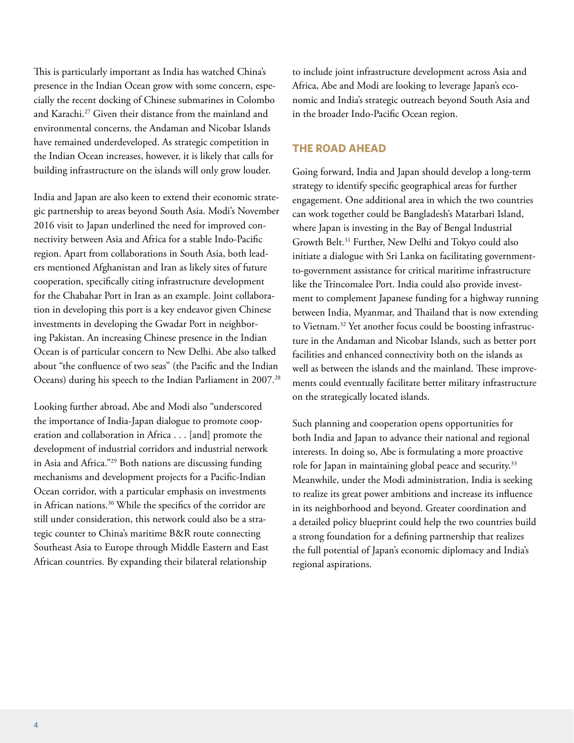This is particularly important as India has watched China's presence in the Indian Ocean grow with some concern, especially the recent docking of Chinese submarines in Colombo and Karachi.27 Given their distance from the mainland and environmental concerns, the Andaman and Nicobar Islands have remained underdeveloped. As strategic competition in the Indian Ocean increases, however, it is likely that calls for building infrastructure on the islands will only grow louder.

India and Japan are also keen to extend their economic strategic partnership to areas beyond South Asia. Modi's November 2016 visit to Japan underlined the need for improved connectivity between Asia and Africa for a stable Indo-Pacific region. Apart from collaborations in South Asia, both leaders mentioned Afghanistan and Iran as likely sites of future cooperation, specifically citing infrastructure development for the Chabahar Port in Iran as an example. Joint collaboration in developing this port is a key endeavor given Chinese investments in developing the Gwadar Port in neighboring Pakistan. An increasing Chinese presence in the Indian Ocean is of particular concern to New Delhi. Abe also talked about "the confluence of two seas" (the Pacific and the Indian Oceans) during his speech to the Indian Parliament in 2007.28

Looking further abroad, Abe and Modi also "underscored the importance of India-Japan dialogue to promote cooperation and collaboration in Africa . . . [and] promote the development of industrial corridors and industrial network in Asia and Africa."29 Both nations are discussing funding mechanisms and development projects for a Pacific-Indian Ocean corridor, with a particular emphasis on investments in African nations.<sup>30</sup> While the specifics of the corridor are still under consideration, this network could also be a strategic counter to China's maritime B&R route connecting Southeast Asia to Europe through Middle Eastern and East African countries. By expanding their bilateral relationship

to include joint infrastructure development across Asia and Africa, Abe and Modi are looking to leverage Japan's economic and India's strategic outreach beyond South Asia and in the broader Indo-Pacific Ocean region.

### **THE ROAD AHEAD**

Going forward, India and Japan should develop a long-term strategy to identify specific geographical areas for further engagement. One additional area in which the two countries can work together could be Bangladesh's Matarbari Island, where Japan is investing in the Bay of Bengal Industrial Growth Belt.31 Further, New Delhi and Tokyo could also initiate a dialogue with Sri Lanka on facilitating governmentto-government assistance for critical maritime infrastructure like the Trincomalee Port. India could also provide investment to complement Japanese funding for a highway running between India, Myanmar, and Thailand that is now extending to Vietnam.<sup>32</sup> Yet another focus could be boosting infrastructure in the Andaman and Nicobar Islands, such as better port facilities and enhanced connectivity both on the islands as well as between the islands and the mainland. These improvements could eventually facilitate better military infrastructure on the strategically located islands.

Such planning and cooperation opens opportunities for both India and Japan to advance their national and regional interests. In doing so, Abe is formulating a more proactive role for Japan in maintaining global peace and security.<sup>33</sup> Meanwhile, under the Modi administration, India is seeking to realize its great power ambitions and increase its influence in its neighborhood and beyond. Greater coordination and a detailed policy blueprint could help the two countries build a strong foundation for a defining partnership that realizes the full potential of Japan's economic diplomacy and India's regional aspirations.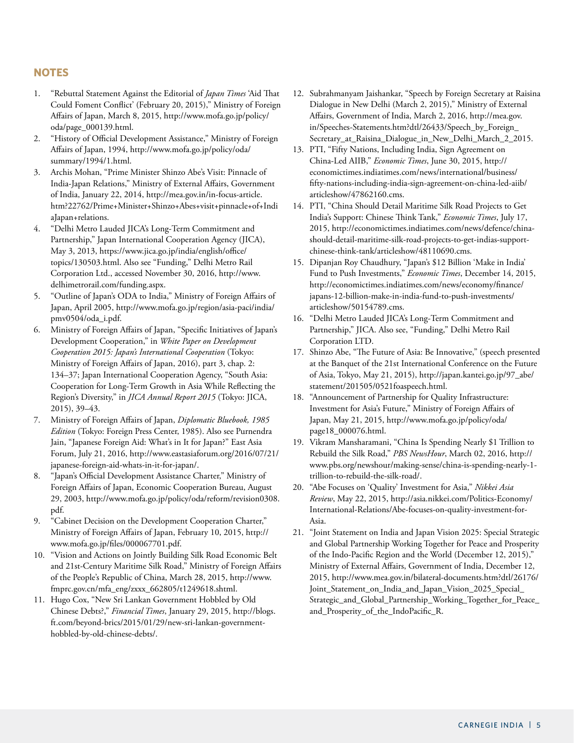### **NOTES**

- 1. "Rebuttal Statement Against the Editorial of *Japan Times* 'Aid That Could Foment Conflict' (February 20, 2015)," Ministry of Foreign Affairs of Japan, March 8, 2015, [http://www.mofa.go.jp/policy/](http://www.mofa.go.jp/policy/oda/page_000139.html) [oda/page\\_000139.html](http://www.mofa.go.jp/policy/oda/page_000139.html).
- 2. "History of Official Development Assistance," Ministry of Foreign Affairs of Japan, 1994, [http://www.mofa.go.jp/policy/oda/](http://www.mofa.go.jp/policy/oda/summary/1994/1.html) [summary/1994/1.html](http://www.mofa.go.jp/policy/oda/summary/1994/1.html).
- 3. Archis Mohan, "Prime Minister Shinzo Abe's Visit: Pinnacle of India-Japan Relations," Ministry of External Affairs, Government of India, January 22, 2014, [http://mea.gov.in/in-focus-article.](http://mea.gov.in/in-focus-article.htm?22762/Prime+Minister+Shinzo+Abes+visit+pinnacle+of+IndiaJapan+relations) [htm?22762/Prime+Minister+Shinzo+Abes+visit+pinnacle+of+Indi](http://mea.gov.in/in-focus-article.htm?22762/Prime+Minister+Shinzo+Abes+visit+pinnacle+of+IndiaJapan+relations) [aJapan+relations](http://mea.gov.in/in-focus-article.htm?22762/Prime+Minister+Shinzo+Abes+visit+pinnacle+of+IndiaJapan+relations).
- 4. "Delhi Metro Lauded JICA's Long-Term Commitment and Partnership," Japan International Cooperation Agency (JICA), May 3, 2013, [https://www.jica.go.jp/india/english/office/](https://www.jica.go.jp/india/english/office/topics/130503.html) [topics/130503.html](https://www.jica.go.jp/india/english/office/topics/130503.html). Also see "Funding," Delhi Metro Rail Corporation Ltd., accessed November 30, 2016, [http://www.](http://www.delhimetrorail.com/funding.aspx) [delhimetrorail.com/funding.aspx.](http://www.delhimetrorail.com/funding.aspx)
- 5. "Outline of Japan's ODA to India," Ministry of Foreign Affairs of Japan, April 2005, http://www.mofa.go.jp/region/asia-paci/india/ pmv0504/oda\_i.pdf.
- 6. Ministry of Foreign Affairs of Japan, "Specific Initiatives of Japan's Development Cooperation," in *White Paper on Development Cooperation 2015: Japan's International Cooperation* (Tokyo: Ministry of Foreign Affairs of Japan, 2016), part 3, chap. 2: 134–37; Japan International Cooperation Agency, "South Asia: Cooperation for Long-Term Growth in Asia While Reflecting the Region's Diversity," in *JICA Annual Report 2015* (Tokyo: JICA, 2015), 39–43.
- 7. Ministry of Foreign Affairs of Japan, *Diplomatic Bluebook, 1985 Edition* (Tokyo: Foreign Press Center, 1985). Also see Purnendra Jain, "Japanese Foreign Aid: What's in It for Japan?" East Asia Forum, July 21, 2016, http://www.eastasiaforum.org/2016/07/21/ japanese-foreign-aid-whats-in-it-for-japan/.
- 8. "Japan's Official Development Assistance Charter," Ministry of Foreign Affairs of Japan, Economic Cooperation Bureau, August 29, 2003, [http://www.mofa.go.jp/policy/oda/reform/revision0308.](http://www.mofa.go.jp/policy/oda/reform/revision0308.pdf) [pdf](http://www.mofa.go.jp/policy/oda/reform/revision0308.pdf).
- 9. "Cabinet Decision on the Development Cooperation Charter," Ministry of Foreign Affairs of Japan, February 10, 2015, http:// www.mofa.go.jp/files/000067701.pdf.
- 10. "Vision and Actions on Jointly Building Silk Road Economic Belt and 21st-Century Maritime Silk Road," Ministry of Foreign Affairs of the People's Republic of China, March 28, 2015, http://www. fmprc.gov.cn/mfa\_eng/zxxx\_662805/t1249618.shtml.
- 11. Hugo Cox, "New Sri Lankan Government Hobbled by Old Chinese Debts?," *Financial Times*, January 29, 2015, http://blogs. ft.com/beyond-brics/2015/01/29/new-sri-lankan-governmenthobbled-by-old-chinese-debts/.
- 12. Subrahmanyam Jaishankar, "Speech by Foreign Secretary at Raisina Dialogue in New Delhi (March 2, 2015)," Ministry of External Affairs, Government of India, March 2, 2016, [http://mea.gov.](http://mea.gov.in/Speeches-Statements.htm?dtl/26433/Speech_by_Foreign_Secretary_at_Raisina_Dialogue_in_New_Delhi_March_2_2015) [in/Speeches-Statements.htm?dtl/26433/Speech\\_by\\_Foreign\\_](http://mea.gov.in/Speeches-Statements.htm?dtl/26433/Speech_by_Foreign_Secretary_at_Raisina_Dialogue_in_New_Delhi_March_2_2015) [Secretary\\_at\\_Raisina\\_Dialogue\\_in\\_New\\_Delhi\\_March\\_2\\_2015.](http://mea.gov.in/Speeches-Statements.htm?dtl/26433/Speech_by_Foreign_Secretary_at_Raisina_Dialogue_in_New_Delhi_March_2_2015)
- 13. PTI, "Fifty Nations, Including India, Sign Agreement on China-Led AIIB," *Economic Times*, June 30, 2015, http:// economictimes.indiatimes.com/news/international/business/ fifty-nations-including-india-sign-agreement-on-china-led-aiib/ articleshow/47862160.cms.
- 14. PTI, "China Should Detail Maritime Silk Road Projects to Get India's Support: Chinese Think Tank," *Economic Times*, July 17, 2015, [http://economictimes.indiatimes.com/news/defence/china](http://economictimes.indiatimes.com/news/defence/china-should-detail-maritime-silk-road-projects-to-get-indias-support-chinese-think-tank/articleshow/48110690.cms)[should-detail-maritime-silk-road-projects-to-get-indias-support](http://economictimes.indiatimes.com/news/defence/china-should-detail-maritime-silk-road-projects-to-get-indias-support-chinese-think-tank/articleshow/48110690.cms)[chinese-think-tank/articleshow/48110690.cms](http://economictimes.indiatimes.com/news/defence/china-should-detail-maritime-silk-road-projects-to-get-indias-support-chinese-think-tank/articleshow/48110690.cms).
- 15. Dipanjan Roy Chaudhury, "Japan's \$12 Billion 'Make in India' Fund to Push Investments," *Economic Times*, December 14, 2015, http://economictimes.indiatimes.com/news/economy/finance/ japans-12-billion-make-in-india-fund-to-push-investments/ articleshow/50154789.cms.
- 16. "Delhi Metro Lauded JICA's Long-Term Commitment and Partnership," JICA. Also see, "Funding," Delhi Metro Rail Corporation LTD.
- 17. Shinzo Abe, "The Future of Asia: Be Innovative," (speech presented at the Banquet of the 21st International Conference on the Future of Asia, Tokyo, May 21, 2015), http://japan.kantei.go.jp/97\_abe/ statement/201505/0521foaspeech.html.
- 18. "Announcement of Partnership for Quality Infrastructure: Investment for Asia's Future," Ministry of Foreign Affairs of Japan, May 21, 2015, http://www.mofa.go.jp/policy/oda/ page18\_000076.html.
- 19. Vikram Mansharamani, "China Is Spending Nearly \$1 Trillion to Rebuild the Silk Road," *PBS NewsHour*, March 02, 2016, http:// www.pbs.org/newshour/making-sense/china-is-spending-nearly-1 trillion-to-rebuild-the-silk-road/.
- 20. "Abe Focuses on 'Quality' Investment for Asia," *Nikkei Asia Review*, May 22, 2015, http://asia.nikkei.com/Politics-Economy/ International-Relations/Abe-focuses-on-quality-investment-for-Asia.
- 21. "Joint Statement on India and Japan Vision 2025: Special Strategic and Global Partnership Working Together for Peace and Prosperity of the Indo-Pacific Region and the World (December 12, 2015)," Ministry of External Affairs, Government of India, December 12, 2015, [http://www.mea.gov.in/bilateral-documents.htm?dtl/26176/](http://www.mea.gov.in/bilateral-documents.htm?dtl/26176/Joint_Statement_on_India_and_Japan_Vision_2025_Special_Strategic_and_Global_Partnership_Working_Together_for_Peace_and_Prosperity_of_the_IndoPacific_R) [Joint\\_Statement\\_on\\_India\\_and\\_Japan\\_Vision\\_2025\\_Special\\_](http://www.mea.gov.in/bilateral-documents.htm?dtl/26176/Joint_Statement_on_India_and_Japan_Vision_2025_Special_Strategic_and_Global_Partnership_Working_Together_for_Peace_and_Prosperity_of_the_IndoPacific_R) [Strategic\\_and\\_Global\\_Partnership\\_Working\\_Together\\_for\\_Peace\\_](http://www.mea.gov.in/bilateral-documents.htm?dtl/26176/Joint_Statement_on_India_and_Japan_Vision_2025_Special_Strategic_and_Global_Partnership_Working_Together_for_Peace_and_Prosperity_of_the_IndoPacific_R) [and\\_Prosperity\\_of\\_the\\_IndoPacific\\_R](http://www.mea.gov.in/bilateral-documents.htm?dtl/26176/Joint_Statement_on_India_and_Japan_Vision_2025_Special_Strategic_and_Global_Partnership_Working_Together_for_Peace_and_Prosperity_of_the_IndoPacific_R).